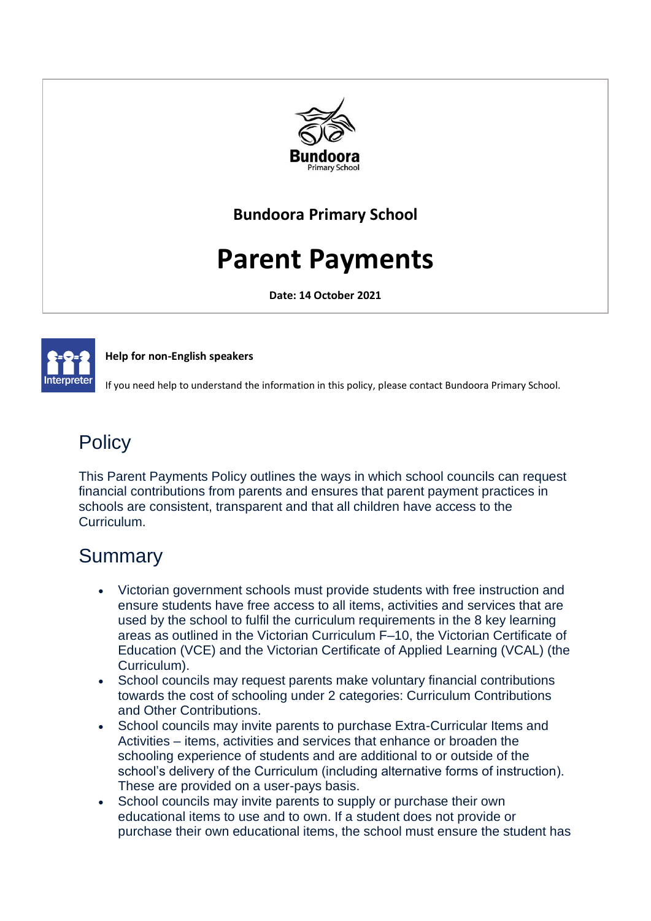

### **Bundoora Primary School**

# **Parent Payments**

**Date: 14 October 2021**



#### **Help for non-English speakers**

If you need help to understand the information in this policy, please contact Bundoora Primary School.

# **Policy**

This Parent Payments Policy outlines the ways in which school councils can request financial contributions from parents and ensures that parent payment practices in schools are consistent, transparent and that all children have access to the Curriculum.

# **Summary**

- Victorian government schools must provide students with free instruction and ensure students have free access to all items, activities and services that are used by the school to fulfil the curriculum requirements in the 8 key learning areas as outlined in the Victorian Curriculum F–10, the Victorian Certificate of Education (VCE) and the Victorian Certificate of Applied Learning (VCAL) (the Curriculum).
- School councils may request parents make voluntary financial contributions towards the cost of schooling under 2 categories: Curriculum Contributions and Other Contributions.
- School councils may invite parents to purchase Extra-Curricular Items and Activities – items, activities and services that enhance or broaden the schooling experience of students and are additional to or outside of the school's delivery of the Curriculum (including alternative forms of instruction). These are provided on a user-pays basis.
- School councils may invite parents to supply or purchase their own educational items to use and to own. If a student does not provide or purchase their own educational items, the school must ensure the student has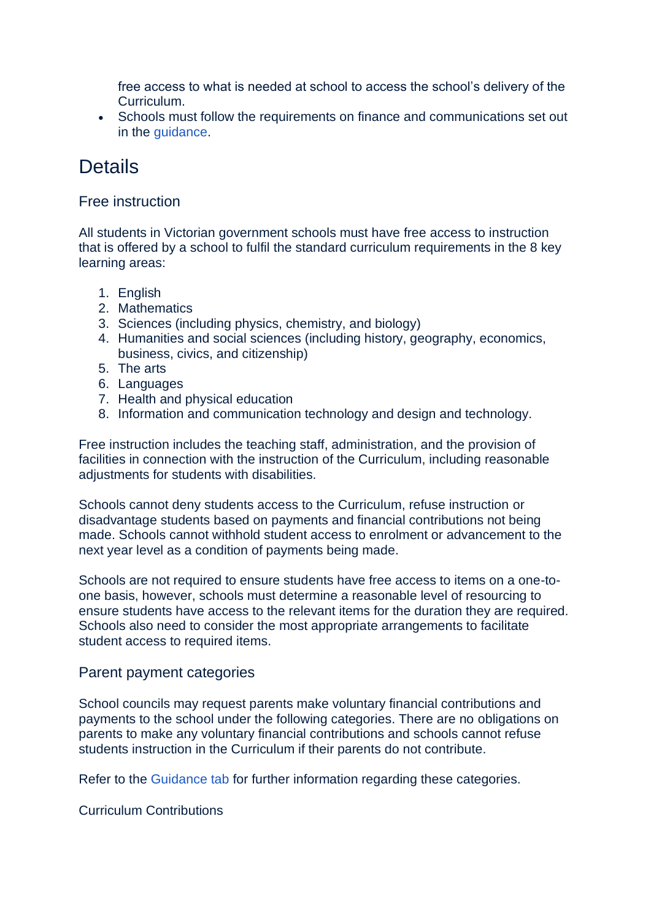free access to what is needed at school to access the school's delivery of the Curriculum.

• Schools must follow the requirements on finance and communications set out in the [guidance.](https://www2.education.vic.gov.au/pal/parent-payment/guidance)

### **Details**

#### Free instruction

All students in Victorian government schools must have free access to instruction that is offered by a school to fulfil the standard curriculum requirements in the 8 key learning areas:

- 1. English
- 2. Mathematics
- 3. Sciences (including physics, chemistry, and biology)
- 4. Humanities and social sciences (including history, geography, economics, business, civics, and citizenship)
- 5. The arts
- 6. Languages
- 7. Health and physical education
- 8. Information and communication technology and design and technology.

Free instruction includes the teaching staff, administration, and the provision of facilities in connection with the instruction of the Curriculum, including reasonable adjustments for students with disabilities.

Schools cannot deny students access to the Curriculum, refuse instruction or disadvantage students based on payments and financial contributions not being made. Schools cannot withhold student access to enrolment or advancement to the next year level as a condition of payments being made.

Schools are not required to ensure students have free access to items on a one-toone basis, however, schools must determine a reasonable level of resourcing to ensure students have access to the relevant items for the duration they are required. Schools also need to consider the most appropriate arrangements to facilitate student access to required items.

#### Parent payment categories

School councils may request parents make voluntary financial contributions and payments to the school under the following categories. There are no obligations on parents to make any voluntary financial contributions and schools cannot refuse students instruction in the Curriculum if their parents do not contribute.

Refer to the [Guidance tab](https://www2.education.vic.gov.au/pal/parent-payment/guidance) for further information regarding these categories.

#### Curriculum Contributions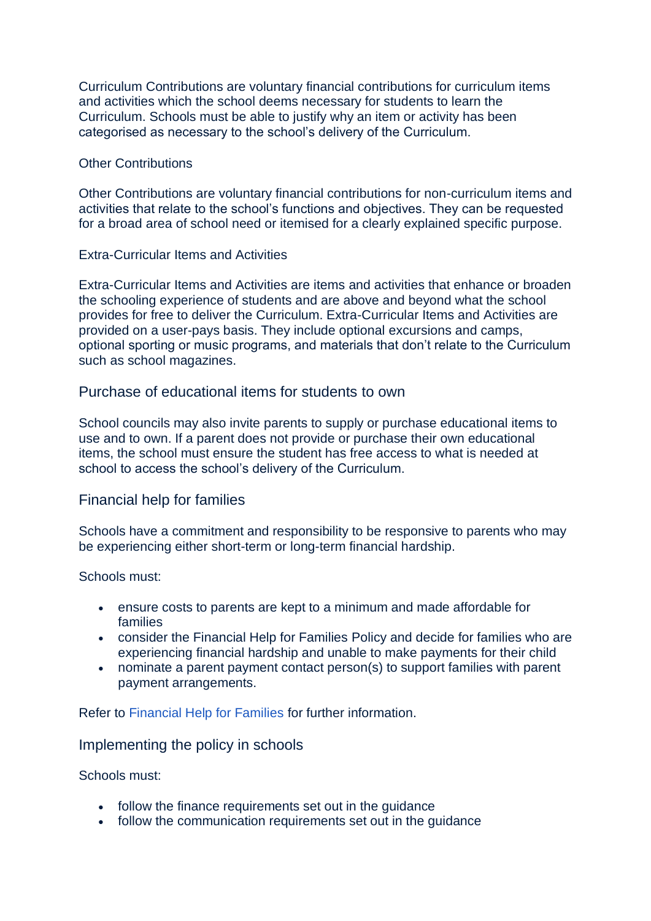Curriculum Contributions are voluntary financial contributions for curriculum items and activities which the school deems necessary for students to learn the Curriculum. Schools must be able to justify why an item or activity has been categorised as necessary to the school's delivery of the Curriculum.

#### Other Contributions

Other Contributions are voluntary financial contributions for non-curriculum items and activities that relate to the school's functions and objectives. They can be requested for a broad area of school need or itemised for a clearly explained specific purpose.

#### Extra-Curricular Items and Activities

Extra-Curricular Items and Activities are items and activities that enhance or broaden the schooling experience of students and are above and beyond what the school provides for free to deliver the Curriculum. Extra-Curricular Items and Activities are provided on a user-pays basis. They include optional excursions and camps, optional sporting or music programs, and materials that don't relate to the Curriculum such as school magazines.

#### Purchase of educational items for students to own

School councils may also invite parents to supply or purchase educational items to use and to own. If a parent does not provide or purchase their own educational items, the school must ensure the student has free access to what is needed at school to access the school's delivery of the Curriculum.

#### Financial help for families

Schools have a commitment and responsibility to be responsive to parents who may be experiencing either short-term or long-term financial hardship.

#### Schools must:

- ensure costs to parents are kept to a minimum and made affordable for families
- consider the Financial Help for Families Policy and decide for families who are experiencing financial hardship and unable to make payments for their child
- nominate a parent payment contact person(s) to support families with parent payment arrangements.

Refer to [Financial Help for Families](https://www2.education.vic.gov.au/pal/financial-help-families/policy) for further information.

#### Implementing the policy in schools

Schools must:

- follow the finance requirements set out in the quidance
- follow the communication requirements set out in the guidance